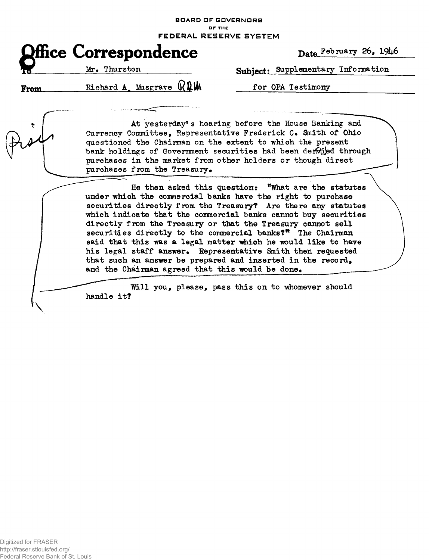**BOARD OF GOVERNORS**  OF THE

**FEDERA L RESERVE SYSTE M** 

|              |                              | <b>FEDERAL RI</b> |
|--------------|------------------------------|-------------------|
|              | <b>Office Correspondence</b> |                   |
| $\mathbf{R}$ | Mr. Thurston                 |                   |
|              |                              | ∩∧ ப.             |

**Date** February 26, 19^6

Subject: Supplementary Information

From.

 $\mathcal{N}$ 

Richard A, Musgrave  $\mathbb{Q}$  MW

for OPA Testimony

.."",..

At yesterday's hearing before the House Banking and Currency Committee, Representative Frederick C» Snith of Ohio questioned the Chairman on the extent to which the present bank holdings of Government securities had been derwied through purchases in the market from other holders or though direct purchases from the Treasury.

He then asked this question: "What are the statutes under which the comnercial banks have the right to purchase securities directly from the Treasury? Are there any statutes which indicate that the commercial banks cannot buy securities directly from the Treasury or that the Treasury cannot sell securities directly to the commercial banks?<sup>\*</sup> The Chairman said that this was a legal matter which he would like to have his legal staff answer. Representative Smith then requested that such an answer be prepared and inserted in the record, and the Chairman agreed that this would be done.

handle it? Will you, please, pass this on to whomever should